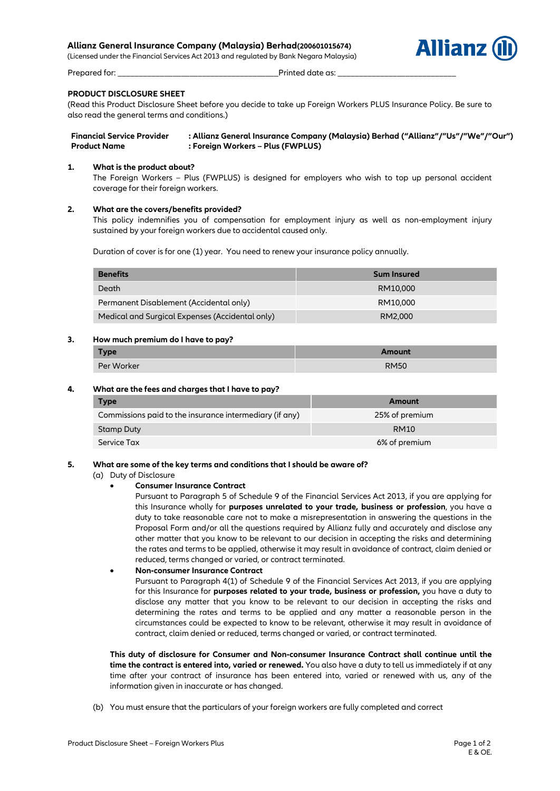# **Allianz General Insurance Company (Malaysia) Berhad(200601015674)**

(Licensed under the Financial Services Act 2013 and regulated by Bank Negara Malaysia)



Prepared for: \_\_\_\_\_\_\_\_\_\_\_\_\_\_\_\_\_\_\_\_\_\_\_\_\_\_\_\_\_\_\_\_\_\_\_\_\_\_Printed date as: \_\_\_\_\_\_\_\_\_\_\_\_\_\_\_\_\_\_\_\_\_\_\_\_\_\_\_\_

# **PRODUCT DISCLOSURE SHEET**

(Read this Product Disclosure Sheet before you decide to take up Foreign Workers PLUS Insurance Policy. Be sure to also read the general terms and conditions.)

**Financial Service Provider : Allianz General Insurance Company (Malaysia) Berhad ("Allianz"/"Us"/"We"/"Our") Product Name : Foreign Workers – Plus (FWPLUS)**

## **1. What is the product about?**

The Foreign Workers – Plus (FWPLUS) is designed for employers who wish to top up personal accident coverage for their foreign workers.

## **2. What are the covers/benefits provided?**

This policy indemnifies you of compensation for employment injury as well as non-employment injury sustained by your foreign workers due to accidental caused only.

Duration of cover is for one (1) year. You need to renew your insurance policy annually.

| <b>Benefits</b>                                 | <b>Sum Insured</b> |
|-------------------------------------------------|--------------------|
| Death                                           | RM10,000           |
| Permanent Disablement (Accidental only)         | RM10,000           |
| Medical and Surgical Expenses (Accidental only) | RM2,000            |

## **3. How much premium do I have to pay?**

| <b>Type</b> | Amount      |
|-------------|-------------|
| Per Worker  | <b>RM50</b> |

## **4. What are the fees and charges that I have to pay?**

| <b>Type</b>                                             | Amount         |
|---------------------------------------------------------|----------------|
| Commissions paid to the insurance intermediary (if any) | 25% of premium |
| Stamp Duty                                              | <b>RM10</b>    |
| Service Tax                                             | 6% of premium  |

## **5. What are some of the key terms and conditions that I should be aware of?**

- (a) Duty of Disclosure
	- **Consumer Insurance Contract**

Pursuant to Paragraph 5 of Schedule 9 of the Financial Services Act 2013, if you are applying for this Insurance wholly for **purposes unrelated to your trade, business or profession**, you have a duty to take reasonable care not to make a misrepresentation in answering the questions in the Proposal Form and/or all the questions required by Allianz fully and accurately and disclose any other matter that you know to be relevant to our decision in accepting the risks and determining the rates and terms to be applied, otherwise it may result in avoidance of contract, claim denied or reduced, terms changed or varied, or contract terminated.

## **Non-consumer Insurance Contract**

Pursuant to Paragraph 4(1) of Schedule 9 of the Financial Services Act 2013, if you are applying for this Insurance for **purposes related to your trade, business or profession,** you have a duty to disclose any matter that you know to be relevant to our decision in accepting the risks and determining the rates and terms to be applied and any matter a reasonable person in the circumstances could be expected to know to be relevant, otherwise it may result in avoidance of contract, claim denied or reduced, terms changed or varied, or contract terminated.

**This duty of disclosure for Consumer and Non-consumer Insurance Contract shall continue until the time the contract is entered into, varied or renewed.** You also have a duty to tell us immediately if at any time after your contract of insurance has been entered into, varied or renewed with us, any of the information given in inaccurate or has changed.

(b) You must ensure that the particulars of your foreign workers are fully completed and correct